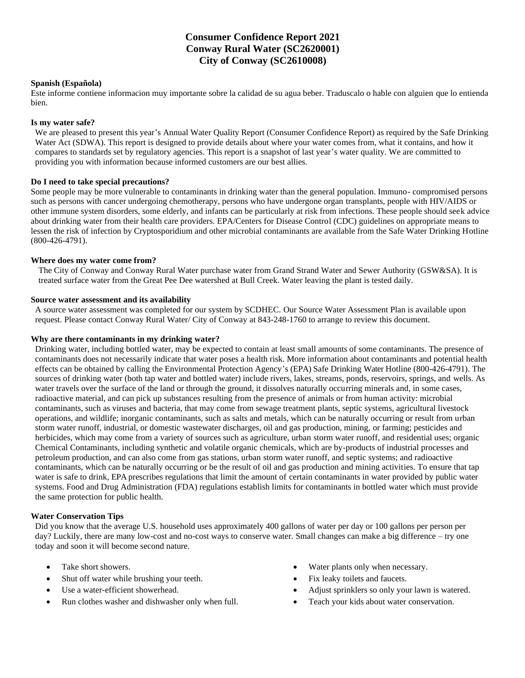# **Consumer Confidence Report 2021 Conway Rural Water (SC2620001) City of Conway (SC2610008)**

### **Spanish (Española)**

Este informe contiene informacion muy importante sobre la calidad de su agua beber. Traduscalo o hable con alguien que lo entienda bien.

# **Is my water safe?**

We are pleased to present this year's Annual Water Quality Report (Consumer Confidence Report) as required by the Safe Drinking Water Act (SDWA). This report is designed to provide details about where your water comes from, what it contains, and how it compares to standards set by regulatory agencies. This report is a snapshot of last year's water quality. We are committed to providing you with information because informed customers are our best allies.

# **Do I need to take special precautions?**

Some people may be more vulnerable to contaminants in drinking water than the general population. Immuno- compromised persons such as persons with cancer undergoing chemotherapy, persons who have undergone organ transplants, people with HIV/AIDS or other immune system disorders, some elderly, and infants can be particularly at risk from infections. These people should seek advice about drinking water from their health care providers. EPA/Centers for Disease Control (CDC) guidelines on appropriate means to lessen the risk of infection by Cryptosporidium and other microbial contaminants are available from the Safe Water Drinking Hotline (800-426-4791).

### **Where does my water come from?**

The City of Conway and Conway Rural Water purchase water from Grand Strand Water and Sewer Authority (GSW&SA). It is treated surface water from the Great Pee Dee watershed at Bull Creek. Water leaving the plant is tested daily.

### **Source water assessment and its availability**

A source water assessment was completed for our system by SCDHEC. Our Source Water Assessment Plan is available upon request. Please contact Conway Rural Water/ City of Conway at 843-248-1760 to arrange to review this document.

### **Why are there contaminants in my drinking water?**

Drinking water, including bottled water, may be expected to contain at least small amounts of some contaminants. The presence of contaminants does not necessarily indicate that water poses a health risk. More information about contaminants and potential health effects can be obtained by calling the Environmental Protection Agency's (EPA) Safe Drinking Water Hotline (800-426-4791). The sources of drinking water (both tap water and bottled water) include rivers, lakes, streams, ponds, reservoirs, springs, and wells. As water travels over the surface of the land or through the ground, it dissolves naturally occurring minerals and, in some cases, radioactive material, and can pick up substances resulting from the presence of animals or from human activity: microbial contaminants, such as viruses and bacteria, that may come from sewage treatment plants, septic systems, agricultural livestock operations, and wildlife; inorganic contaminants, such as salts and metals, which can be naturally occurring or result from urban storm water runoff, industrial, or domestic wastewater discharges, oil and gas production, mining, or farming; pesticides and herbicides, which may come from a variety of sources such as agriculture, urban storm water runoff, and residential uses; organic Chemical Contaminants, including synthetic and volatile organic chemicals, which are by-products of industrial processes and petroleum production, and can also come from gas stations, urban storm water runoff, and septic systems; and radioactive contaminants, which can be naturally occurring or be the result of oil and gas production and mining activities. To ensure that tap water is safe to drink, EPA prescribes regulations that limit the amount of certain contaminants in water provided by public water systems. Food and Drug Administration (FDA) regulations establish limits for contaminants in bottled water which must provide the same protection for public health.

### **Water Conservation Tips**

Did you know that the average U.S. household uses approximately 400 gallons of water per day or 100 gallons per person per day? Luckily, there are many low-cost and no-cost ways to conserve water. Small changes can make a big difference – try one today and soon it will become second nature.

- Take short showers.
- Shut off water while brushing your teeth.
- Use a water-efficient showerhead.
- Run clothes washer and dishwasher only when full.
- Water plants only when necessary.
- Fix leaky toilets and faucets.
- Adjust sprinklers so only your lawn is watered.
- Teach your kids about water conservation.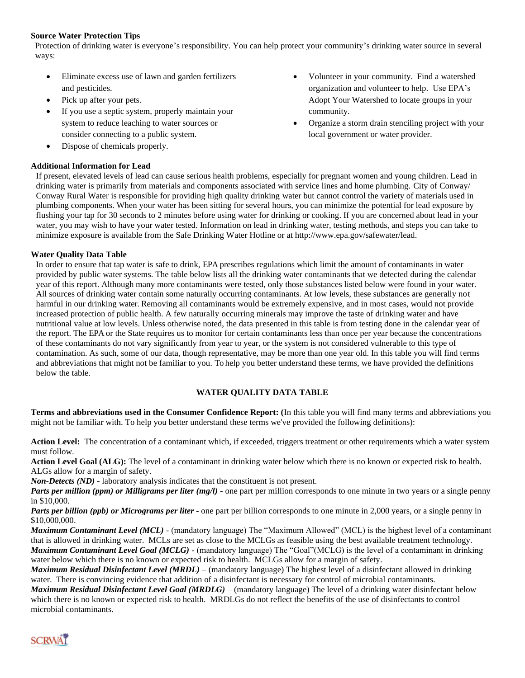# **Source Water Protection Tips**

Protection of drinking water is everyone's responsibility. You can help protect your community's drinking water source in several ways:

- Eliminate excess use of lawn and garden fertilizers and pesticides.
- Pick up after your pets.
- If you use a septic system, properly maintain your system to reduce leaching to water sources or consider connecting to a public system.
- Dispose of chemicals properly.

# **Additional Information for Lead**

- Volunteer in your community. Find a watershed organization and volunteer to help. Use EPA's Adopt Your Watershed to locate groups in your community.
- Organize a storm drain stenciling project with your local government or water provider.

If present, elevated levels of lead can cause serious health problems, especially for pregnant women and young children. Lead in drinking water is primarily from materials and components associated with service lines and home plumbing. City of Conway/ Conway Rural Water is responsible for providing high quality drinking water but cannot control the variety of materials used in plumbing components. When your water has been sitting for several hours, you can minimize the potential for lead exposure by flushing your tap for 30 seconds to 2 minutes before using water for drinking or cooking. If you are concerned about lead in your water, you may wish to have your water tested. Information on lead in drinking water, testing methods, and steps you can take to minimize exposure is available from the Safe Drinking [Water Hotline or at http://www.epa.gov/safewater/lead.](http://www.epa.gov/safewater/lead)

### **Water Quality Data Table**

In order to ensure that tap water is safe to drink, EPA prescribes regulations which limit the amount of contaminants in water provided by public water systems. The table below lists all the drinking water contaminants that we detected during the calendar year of this report. Although many more contaminants were tested, only those substances listed below were found in your water. All sources of drinking water contain some naturally occurring contaminants. At low levels, these substances are generally not harmful in our drinking water. Removing all contaminants would be extremely expensive, and in most cases, would not provide increased protection of public health. A few naturally occurring minerals may improve the taste of drinking water and have nutritional value at low levels. Unless otherwise noted, the data presented in this table is from testing done in the calendar year of the report. The EPA or the State requires us to monitor for certain contaminants less than once per year because the concentrations of these contaminants do not vary significantly from year to year, or the system is not considered vulnerable to this type of contamination. As such, some of our data, though representative, may be more than one year old. In this table you will find terms and abbreviations that might not be familiar to you. To help you better understand these terms, we have provided the definitions below the table.

# **WATER QUALITY DATA TABLE**

**Terms and abbreviations used in the Consumer Confidence Report: (**In this table you will find many terms and abbreviations you might not be familiar with. To help you better understand these terms we've provided the following definitions):

Action Level: The concentration of a contaminant which, if exceeded, triggers treatment or other requirements which a water system must follow.

**Action Level Goal (ALG):** The level of a contaminant in drinking water below which there is no known or expected risk to health. ALGs allow for a margin of safety.

*Non-Detects (ND)* - laboratory analysis indicates that the constituent is not present.

*Parts per million (ppm) or Milligrams per liter (mg/l)* - one part per million corresponds to one minute in two years or a single penny in \$10,000.

*Parts per billion (ppb) or Micrograms per liter* - one part per billion corresponds to one minute in 2,000 years, or a single penny in \$10,000,000.

*Maximum Contaminant Level (MCL)* - (mandatory language) The "Maximum Allowed" (MCL) is the highest level of a contaminant that is allowed in drinking water. MCLs are set as close to the MCLGs as feasible using the best available treatment technology. *Maximum Contaminant Level Goal (MCLG)* - (mandatory language) The "Goal"(MCLG) is the level of a contaminant in drinking water below which there is no known or expected risk to health. MCLGs allow for a margin of safety.

*Maximum Residual Disinfectant Level (MRDL)* – (mandatory language) The highest level of a disinfectant allowed in drinking water. There is convincing evidence that addition of a disinfectant is necessary for control of microbial contaminants.

*Maximum Residual Disinfectant Level Goal (MRDLG)* – (mandatory language) The level of a drinking water disinfectant below which there is no known or expected risk to health. MRDLGs do not reflect the benefits of the use of disinfectants to control microbial contaminants.

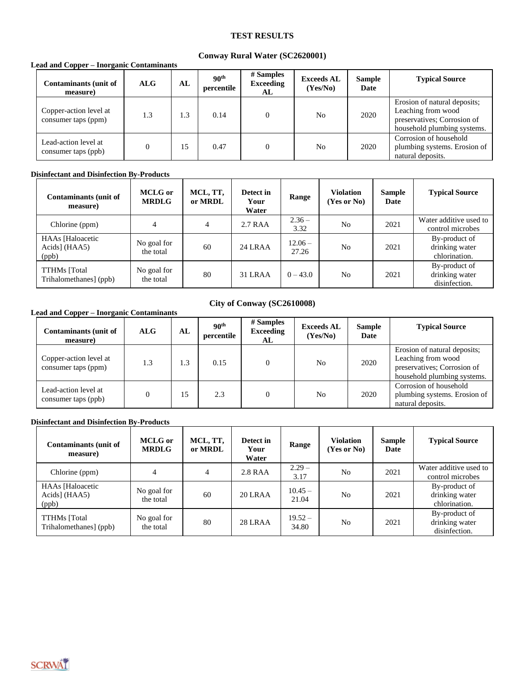# **TEST RESULTS**

# **Conway Rural Water (SC2620001)**

### **Lead and Copper – Inorganic Contaminants**

| Contaminants (unit of<br>measure)             | <b>ALG</b> | AL  | 90 <sup>th</sup><br>percentile | # Samples<br><b>Exceeding</b><br>AL | <b>Exceeds AL</b><br>(Yes/No) | <b>Sample</b><br>Date | <b>Typical Source</b>                                                                                            |
|-----------------------------------------------|------------|-----|--------------------------------|-------------------------------------|-------------------------------|-----------------------|------------------------------------------------------------------------------------------------------------------|
| Copper-action level at<br>consumer taps (ppm) | 1.3        | 1.3 | 0.14                           |                                     | N <sub>0</sub>                | 2020                  | Erosion of natural deposits;<br>Leaching from wood<br>preservatives; Corrosion of<br>household plumbing systems. |
| Lead-action level at<br>consumer taps (ppb)   |            | 15  | 0.47                           |                                     | N <sub>0</sub>                | 2020                  | Corrosion of household<br>plumbing systems. Erosion of<br>natural deposits.                                      |

### **Disinfectant and Disinfection By-Products**

| <b>Contaminants (unit of</b><br>measure)             | <b>MCLG</b> or<br><b>MRDLG</b> | MCL, TT,<br>or MRDL | Detect in<br>Your<br>Water | Range              | <b>Violation</b><br>(Yes or No) | Sample<br>Date | <b>Typical Source</b>                            |
|------------------------------------------------------|--------------------------------|---------------------|----------------------------|--------------------|---------------------------------|----------------|--------------------------------------------------|
| Chlorine (ppm)                                       | 4                              | 4                   | 2.7 RAA                    | $2.36 -$<br>3.32   | N <sub>o</sub>                  | 2021           | Water additive used to<br>control microbes       |
| <b>HAAs</b> [Haloacetic]<br>Acids] $(HAA5)$<br>(ppb) | No goal for<br>the total       | 60                  | $24$ LRAA                  | $12.06 -$<br>27.26 | N <sub>o</sub>                  | 2021           | By-product of<br>drinking water<br>chlorination. |
| <b>TTHMs</b> [Total]<br>Trihalomethanes] (ppb)       | No goal for<br>the total       | 80                  | 31 LRAA                    | $0 - 43.0$         | N <sub>0</sub>                  | 2021           | By-product of<br>drinking water<br>disinfection. |

### **Lead and Copper – Inorganic Contaminants**

# **City of Conway (SC2610008)**

| <b>Contaminants (unit of</b><br>measure)      | <b>ALG</b> | AL  | 90 <sup>th</sup><br>percentile | # Samples<br><b>Exceeding</b><br>AL | <b>Exceeds AL</b><br>(Yes/No) | <b>Sample</b><br><b>Date</b> | <b>Typical Source</b>                                                                                            |
|-----------------------------------------------|------------|-----|--------------------------------|-------------------------------------|-------------------------------|------------------------------|------------------------------------------------------------------------------------------------------------------|
| Copper-action level at<br>consumer taps (ppm) | 1.3        | 1.3 | 0.15                           |                                     | N <sub>0</sub>                | 2020                         | Erosion of natural deposits;<br>Leaching from wood<br>preservatives; Corrosion of<br>household plumbing systems. |
| Lead-action level at<br>consumer taps (ppb)   |            | 15  | 2.3                            |                                     | N <sub>0</sub>                | 2020                         | Corrosion of household<br>plumbing systems. Erosion of<br>natural deposits.                                      |

# **Disinfectant and Disinfection By-Products**

| <b>Contaminants (unit of</b><br>measure)           | <b>MCLG</b> or<br><b>MRDLG</b> | MCL, TT,<br>or MRDL | Detect in<br>Your<br>Water | Range              | <b>Violation</b><br>(Yes or No) | <b>Sample</b><br>Date | <b>Typical Source</b>                            |
|----------------------------------------------------|--------------------------------|---------------------|----------------------------|--------------------|---------------------------------|-----------------------|--------------------------------------------------|
| Chlorine (ppm)                                     | 4                              | $\overline{4}$      | 2.8 RAA                    | $2.29 -$<br>3.17   | N <sub>0</sub>                  | 2021                  | Water additive used to<br>control microbes       |
| <b>HAAs</b> [Haloacetic]<br>Acids] (HAA5)<br>(ppb) | No goal for<br>the total       | 60                  | 20 LRAA                    | $10.45 -$<br>21.04 | N <sub>0</sub>                  | 2021                  | By-product of<br>drinking water<br>chlorination. |
| <b>TTHMs</b> [Total]<br>Trihalomethanes] (ppb)     | No goal for<br>the total       | 80                  | 28 LRAA                    | $19.52 -$<br>34.80 | N <sub>0</sub>                  | 2021                  | By-product of<br>drinking water<br>disinfection. |